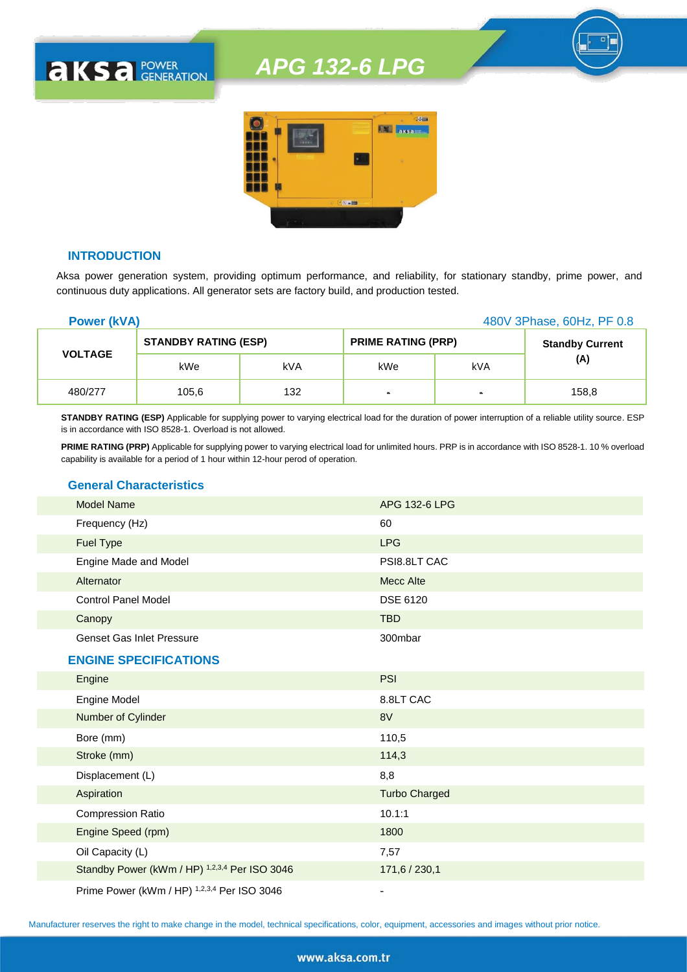

## **INTRODUCTION**

**AKSA POWER** 

Aksa power generation system, providing optimum performance, and reliability, for stationary standby, prime power, and continuous duty applications. All generator sets are factory build, and production tested.

| <b>Power (kVA)</b> |                             |            | 480V 3Phase, 60Hz, PF 0.8 |                |                        |
|--------------------|-----------------------------|------------|---------------------------|----------------|------------------------|
| <b>VOLTAGE</b>     | <b>STANDBY RATING (ESP)</b> |            | <b>PRIME RATING (PRP)</b> |                | <b>Standby Current</b> |
|                    | kWe                         | <b>kVA</b> | kWe                       | kVA            | (A)                    |
| 480/277            | 105,6                       | 132        | ٠                         | $\blacksquare$ | 158,8                  |

**STANDBY RATING (ESP)** Applicable for supplying power to varying electrical load for the duration of power interruption of a reliable utility source. ESP is in accordance with ISO 8528-1. Overload is not allowed.

**PRIME RATING (PRP)** Applicable for supplying power to varying electrical load for unlimited hours. PRP is in accordance with ISO 8528-1. 10 % overload capability is available for a period of 1 hour within 12-hour perod of operation.

# **General Characteristics**

| <b>Model Name</b>                | APG 132-6 LPG   |
|----------------------------------|-----------------|
| Frequency (Hz)                   | 60              |
| <b>Fuel Type</b>                 | <b>LPG</b>      |
| Engine Made and Model            | PSI8.8LT CAC    |
| Alternator                       | Mecc Alte       |
| <b>Control Panel Model</b>       | <b>DSE 6120</b> |
| Canopy                           | <b>TBD</b>      |
| <b>Genset Gas Inlet Pressure</b> | 300mbar         |

#### **ENGINE SPECIFICATIONS**

| Engine                                        | <b>PSI</b>           |
|-----------------------------------------------|----------------------|
| <b>Engine Model</b>                           | 8.8LT CAC            |
| Number of Cylinder                            | 8V                   |
| Bore (mm)                                     | 110,5                |
| Stroke (mm)                                   | 114,3                |
| Displacement (L)                              | 8,8                  |
| Aspiration                                    | <b>Turbo Charged</b> |
| <b>Compression Ratio</b>                      | 10.1:1               |
| Engine Speed (rpm)                            | 1800                 |
| Oil Capacity (L)                              | 7,57                 |
| Standby Power (kWm / HP) 1,2,3,4 Per ISO 3046 | 171,6 / 230,1        |
| Prime Power (kWm / HP) 1,2,3,4 Per ISO 3046   |                      |

Manufacturer reserves the right to make change in the model, technical specifications, color, equipment, accessories and images without prior notice.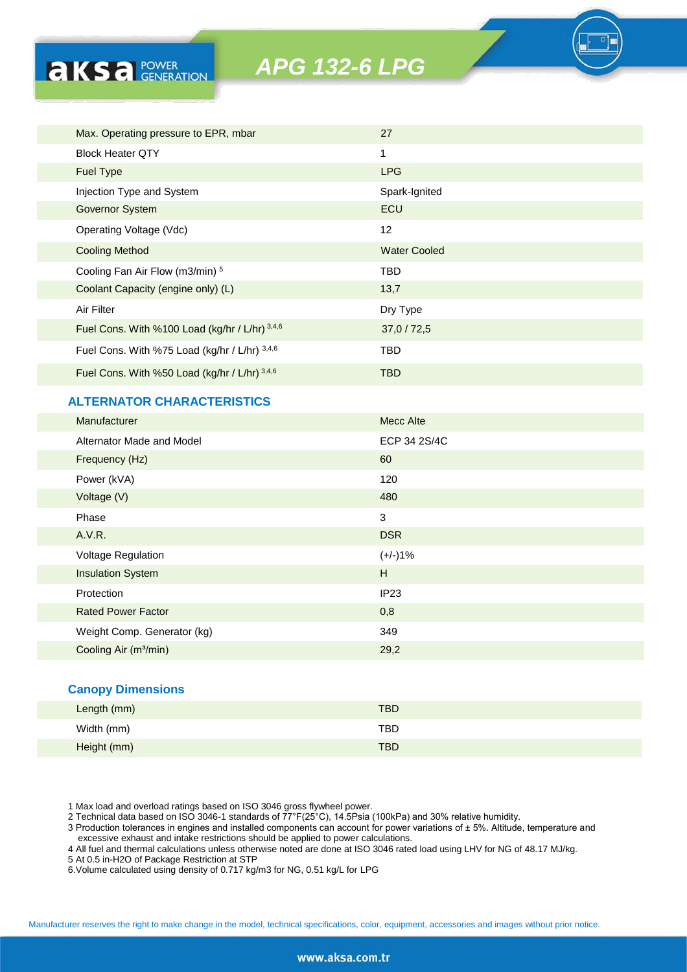| Max. Operating pressure to EPR, mbar           | 27                  |
|------------------------------------------------|---------------------|
| <b>Block Heater QTY</b>                        | 1                   |
| <b>Fuel Type</b>                               | <b>LPG</b>          |
| Injection Type and System                      | Spark-Ignited       |
| <b>Governor System</b>                         | ECU                 |
| Operating Voltage (Vdc)                        | $12 \overline{ }$   |
| <b>Cooling Method</b>                          | <b>Water Cooled</b> |
| Cooling Fan Air Flow (m3/min) 5                | TBD.                |
| Coolant Capacity (engine only) (L)             | 13,7                |
| Air Filter                                     | Dry Type            |
| Fuel Cons. With %100 Load (kg/hr / L/hr) 3,4,6 | 37,0/72,5           |
| Fuel Cons. With %75 Load (kg/hr / L/hr) 3,4,6  | <b>TBD</b>          |
| Fuel Cons. With %50 Load (kg/hr / L/hr) 3,4,6  | <b>TBD</b>          |

# **ALTERNATOR CHARACTERISTICS**

**AKSA POWER** 

| Manufacturer                      | <b>Mecc Alte</b> |
|-----------------------------------|------------------|
| Alternator Made and Model         | ECP 34 2S/4C     |
| Frequency (Hz)                    | 60               |
| Power (kVA)                       | 120              |
| Voltage (V)                       | 480              |
| Phase                             | 3                |
| A.V.R.                            | <b>DSR</b>       |
| Voltage Regulation                | $(+/-)1%$        |
| <b>Insulation System</b>          | H                |
| Protection                        | IP23             |
| <b>Rated Power Factor</b>         | 0,8              |
| Weight Comp. Generator (kg)       | 349              |
| Cooling Air (m <sup>3</sup> /min) | 29,2             |
|                                   |                  |

### **Canopy Dimensions**

| Length (mm) | <b>TBD</b> |
|-------------|------------|
| Width (mm)  | TBD        |
| Height (mm) | <b>TBD</b> |

1 Max load and overload ratings based on ISO 3046 gross flywheel power.

2 Technical data based on ISO 3046-1 standards of 77°F(25°C), 14.5Psia (100kPa) and 30% relative humidity.

3 Production tolerances in engines and installed components can account for power variations of ± 5%. Altitude, temperature and excessive exhaust and intake restrictions should be applied to power calculations.

4 All fuel and thermal calculations unless otherwise noted are done at ISO 3046 rated load using LHV for NG of 48.17 MJ/kg.

5 At 0.5 in-H2O of Package Restriction at STP

6.Volume calculated using density of 0.717 kg/m3 for NG, 0.51 kg/L for LPG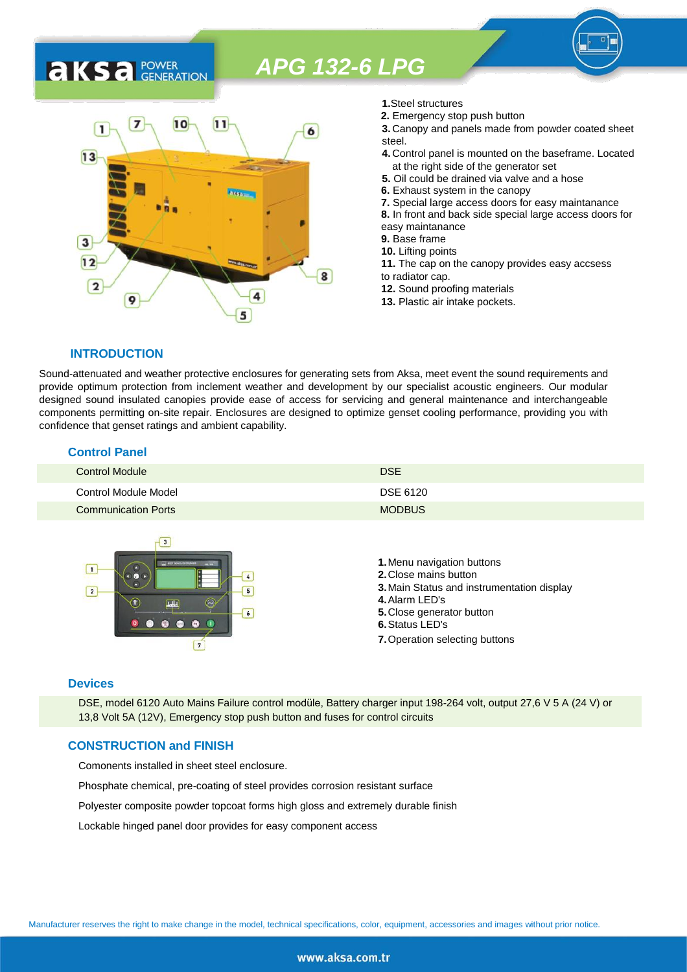

- **1.**Steel structures
- **2.** Emergency stop push button
- **3.** Canopy and panels made from powder coated sheet steel.
- **4.** Control panel is mounted on the baseframe. Located at the right side of the generator set
- **5.** Oil could be drained via valve and a hose
- **6.** Exhaust system in the canopy
- **7.** Special large access doors for easy maintanance
- **8.** In front and back side special large access doors for
- easy maintanance
- **9.** Base frame
- **10.** Lifting points
- **11.** The cap on the canopy provides easy accsess to radiator cap.
- **12.** Sound proofing materials
- **13.** Plastic air intake pockets.

## **INTRODUCTION**

**AKS** *C C <b>C GENERATION* 

Sound-attenuated and weather protective enclosures for generating sets from Aksa, meet event the sound requirements and provide optimum protection from inclement weather and development by our specialist acoustic engineers. Our modular designed sound insulated canopies provide ease of access for servicing and general maintenance and interchangeable components permitting on-site repair. Enclosures are designed to optimize genset cooling performance, providing you with confidence that genset ratings and ambient capability.

#### **Control Panel**

| <b>Control Module</b>      | <b>DSE</b>    |
|----------------------------|---------------|
| Control Module Model       | DSE 6120      |
| <b>Communication Ports</b> | <b>MODBUS</b> |



#### **Devices**

DSE, model 6120 Auto Mains Failure control modüle, Battery charger input 198-264 volt, output 27,6 V 5 A (24 V) or 13,8 Volt 5A (12V), Emergency stop push button and fuses for control circuits

## **CONSTRUCTION and FINISH**

Comonents installed in sheet steel enclosure.

Phosphate chemical, pre-coating of steel provides corrosion resistant surface

Polyester composite powder topcoat forms high gloss and extremely durable finish

Lockable hinged panel door provides for easy component access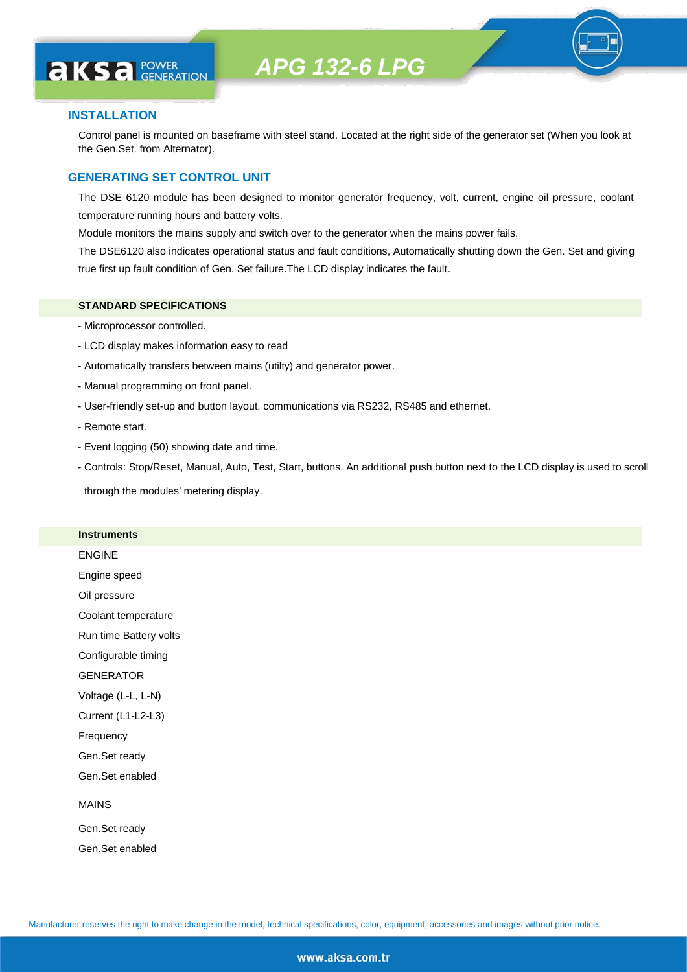

**AKS** *C C <b>C GENERATION* 

Control panel is mounted on baseframe with steel stand. Located at the right side of the generator set (When you look at the Gen.Set. from Alternator).

#### **GENERATING SET CONTROL UNIT**

The DSE 6120 module has been designed to monitor generator frequency, volt, current, engine oil pressure, coolant temperature running hours and battery volts.

Module monitors the mains supply and switch over to the generator when the mains power fails.

The DSE6120 also indicates operational status and fault conditions, Automatically shutting down the Gen. Set and giving true first up fault condition of Gen. Set failure.The LCD display indicates the fault.

#### **STANDARD SPECIFICATIONS**

- Microprocessor controlled.
- LCD display makes information easy to read
- Automatically transfers between mains (utilty) and generator power.
- Manual programming on front panel.
- User-friendly set-up and button layout. communications via RS232, RS485 and ethernet.
- Remote start.
- Event logging (50) showing date and time.
- Controls: Stop/Reset, Manual, Auto, Test, Start, buttons. An additional push button next to the LCD display is used to scroll

through the modules' metering display.

#### **Instruments**

ENGINE Engine speed Oil pressure Coolant temperature Run time Battery volts Configurable timing **GENERATOR** Voltage (L-L, L-N) Current (L1-L2-L3) Frequency Gen.Set ready Gen.Set enabled MAINS Gen.Set ready

Gen.Set enabled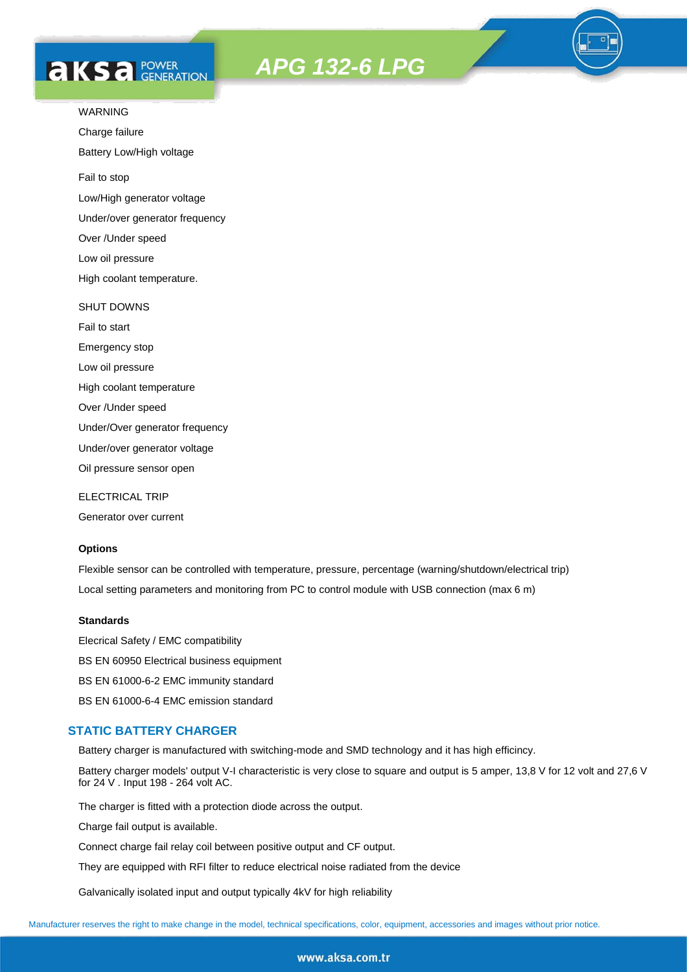# **AKS** *C C <b>C GENERATION*

*APG 132-6 LPG*



Charge failure

Battery Low/High voltage

Fail to stop

Low/High generator voltage

Under/over generator frequency

Over /Under speed

Low oil pressure

High coolant temperature.

#### SHUT DOWNS

Fail to start Emergency stop Low oil pressure High coolant temperature Over /Under speed Under/Over generator frequency Under/over generator voltage

Oil pressure sensor open

ELECTRICAL TRIP

Generator over current

### **Options**

Flexible sensor can be controlled with temperature, pressure, percentage (warning/shutdown/electrical trip) Local setting parameters and monitoring from PC to control module with USB connection (max 6 m)

#### **Standards**

Elecrical Safety / EMC compatibility BS EN 60950 Electrical business equipment BS EN 61000-6-2 EMC immunity standard BS EN 61000-6-4 EMC emission standard

# **STATIC BATTERY CHARGER**

Battery charger is manufactured with switching-mode and SMD technology and it has high efficincy.

Battery charger models' output V-I characteristic is very close to square and output is 5 amper, 13,8 V for 12 volt and 27,6 V for 24 V . Input 198 - 264 volt AC.

The charger is fitted with a protection diode across the output.

Charge fail output is available.

Connect charge fail relay coil between positive output and CF output.

They are equipped with RFI filter to reduce electrical noise radiated from the device

Galvanically isolated input and output typically 4kV for high reliability